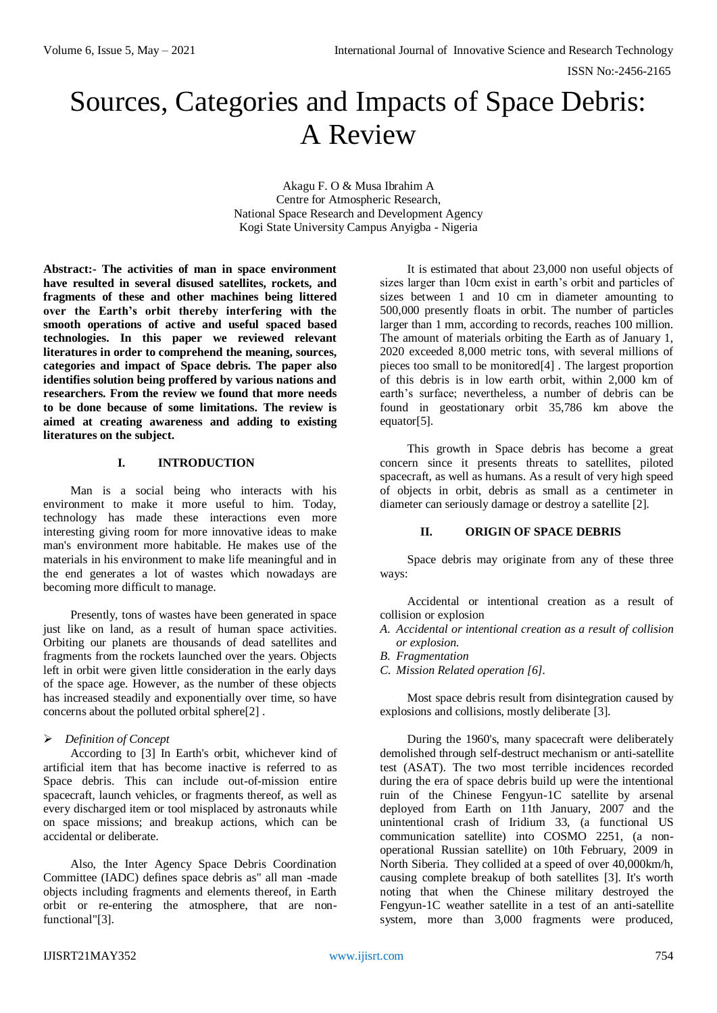# Sources, Categories and Impacts of Space Debris: A Review

Akagu F. O & Musa Ibrahim A Centre for Atmospheric Research, National Space Research and Development Agency Kogi State University Campus Anyigba - Nigeria

**Abstract:- The activities of man in space environment have resulted in several disused satellites, rockets, and fragments of these and other machines being littered over the Earth's orbit thereby interfering with the smooth operations of active and useful spaced based technologies. In this paper we reviewed relevant literatures in order to comprehend the meaning, sources, categories and impact of Space debris. The paper also identifies solution being proffered by various nations and researchers. From the review we found that more needs to be done because of some limitations. The review is aimed at creating awareness and adding to existing literatures on the subject.** 

## **I. INTRODUCTION**

Man is a social being who interacts with his environment to make it more useful to him. Today, technology has made these interactions even more interesting giving room for more innovative ideas to make man's environment more habitable. He makes use of the materials in his environment to make life meaningful and in the end generates a lot of wastes which nowadays are becoming more difficult to manage.

Presently, tons of wastes have been generated in space just like on land, as a result of human space activities. Orbiting our planets are thousands of dead satellites and fragments from the rockets launched over the years. Objects left in orbit were given little consideration in the early days of the space age. However, as the number of these objects has increased steadily and exponentially over time, so have concerns about the polluted orbital sphere[2] .

#### *Definition of Concept*

According to [3] In Earth's orbit, whichever kind of artificial item that has become inactive is referred to as Space debris. This can include out-of-mission entire spacecraft, launch vehicles, or fragments thereof, as well as every discharged item or tool misplaced by astronauts while on space missions; and breakup actions, which can be accidental or deliberate.

Also, the Inter Agency Space Debris Coordination Committee (IADC) defines space debris as" all man -made objects including fragments and elements thereof, in Earth orbit or re-entering the atmosphere, that are nonfunctional"[3].

It is estimated that about 23,000 non useful objects of sizes larger than 10cm exist in earth's orbit and particles of sizes between 1 and 10 cm in diameter amounting to 500,000 presently floats in orbit. The number of particles larger than 1 mm, according to records, reaches 100 million. The amount of materials orbiting the Earth as of January 1, 2020 exceeded 8,000 metric tons, with several millions of pieces too small to be monitored[4] . The largest proportion of this debris is in low earth orbit, within 2,000 km of earth's surface; nevertheless, a number of debris can be found in geostationary orbit 35,786 km above the equator[5].

This growth in Space debris has become a great concern since it presents threats to satellites, piloted spacecraft, as well as humans. As a result of very high speed of objects in orbit, debris as small as a centimeter in diameter can seriously damage or destroy a satellite [2].

## **II. ORIGIN OF SPACE DEBRIS**

Space debris may originate from any of these three ways:

Accidental or intentional creation as a result of collision or explosion

- *A. Accidental or intentional creation as a result of collision or explosion.*
- *B. Fragmentation*
- *C. Mission Related operation [6].*

Most space debris result from disintegration caused by explosions and collisions, mostly deliberate [3].

During the 1960's, many spacecraft were deliberately demolished through self-destruct mechanism or anti-satellite test (ASAT). The two most terrible incidences recorded during the era of space debris build up were the intentional ruin of the Chinese Fengyun-1C satellite by arsenal deployed from Earth on 11th January, 2007 and the unintentional crash of Iridium 33, (a functional US communication satellite) into COSMO 2251, (a nonoperational Russian satellite) on 10th February, 2009 in North Siberia. They collided at a speed of over 40,000km/h, causing complete breakup of both satellites [3]. It's worth noting that when the Chinese military destroyed the Fengyun-1C weather satellite in a test of an anti-satellite system, more than 3,000 fragments were produced,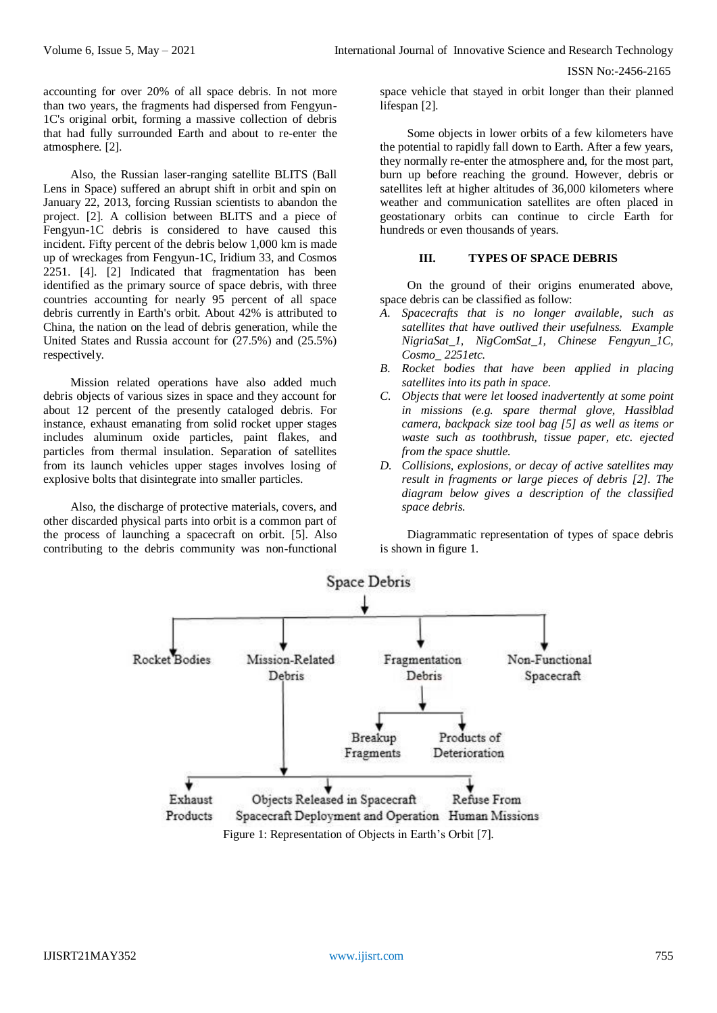accounting for over 20% of all space debris. In not more than two years, the fragments had dispersed from Fengyun-1C's original orbit, forming a massive collection of debris that had fully surrounded Earth and about to re-enter the atmosphere. [2].

Also, the Russian laser-ranging satellite BLITS (Ball Lens in Space) suffered an abrupt shift in orbit and spin on January 22, 2013, forcing Russian scientists to abandon the project. [2]. A collision between BLITS and a piece of Fengyun-1C debris is considered to have caused this incident. Fifty percent of the debris below 1,000 km is made up of wreckages from Fengyun-1C, Iridium 33, and Cosmos 2251. [4]. [2] Indicated that fragmentation has been identified as the primary source of space debris, with three countries accounting for nearly 95 percent of all space debris currently in Earth's orbit. About 42% is attributed to China, the nation on the lead of debris generation, while the United States and Russia account for (27.5%) and (25.5%) respectively.

Mission related operations have also added much debris objects of various sizes in space and they account for about 12 percent of the presently cataloged debris. For instance, exhaust emanating from solid rocket upper stages includes aluminum oxide particles, paint flakes, and particles from thermal insulation. Separation of satellites from its launch vehicles upper stages involves losing of explosive bolts that disintegrate into smaller particles.

Also, the discharge of protective materials, covers, and other discarded physical parts into orbit is a common part of the process of launching a spacecraft on orbit. [5]. Also contributing to the debris community was non-functional space vehicle that stayed in orbit longer than their planned lifespan [2].

Some objects in lower orbits of a few kilometers have the potential to rapidly fall down to Earth. After a few years, they normally re-enter the atmosphere and, for the most part, burn up before reaching the ground. However, debris or satellites left at higher altitudes of 36,000 kilometers where weather and communication satellites are often placed in geostationary orbits can continue to circle Earth for hundreds or even thousands of years.

# **III. TYPES OF SPACE DEBRIS**

On the ground of their origins enumerated above, space debris can be classified as follow:

- *A. Spacecrafts that is no longer available, such as satellites that have outlived their usefulness. Example NigriaSat\_1, NigComSat\_1, Chinese Fengyun\_1C, Cosmo\_ 2251etc.*
- *B. Rocket bodies that have been applied in placing satellites into its path in space.*
- *C. Objects that were let loosed inadvertently at some point in missions (e.g. spare thermal glove, Hasslblad camera, backpack size tool bag [5] as well as items or waste such as toothbrush, tissue paper, etc. ejected from the space shuttle.*
- *D. Collisions, explosions, or decay of active satellites may result in fragments or large pieces of debris [2]. The diagram below gives a description of the classified space debris.*

Diagrammatic representation of types of space debris is shown in figure 1.

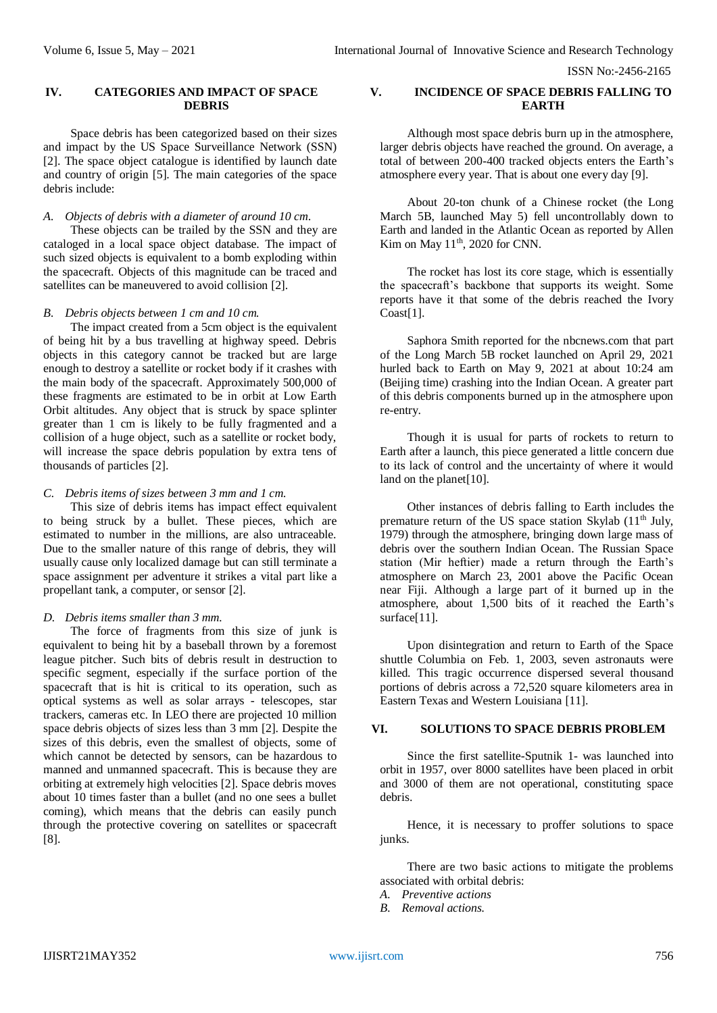ISSN No:-2456-2165

# **IV. CATEGORIES AND IMPACT OF SPACE DEBRIS**

Space debris has been categorized based on their sizes and impact by the US Space Surveillance Network (SSN) [2]. The space object catalogue is identified by launch date and country of origin [5]. The main categories of the space debris include:

# *A. Objects of debris with a diameter of around 10 cm.*

These objects can be trailed by the SSN and they are cataloged in a local space object database. The impact of such sized objects is equivalent to a bomb exploding within the spacecraft. Objects of this magnitude can be traced and satellites can be maneuvered to avoid collision [2].

#### *B. Debris objects between 1 cm and 10 cm.*

The impact created from a 5cm object is the equivalent of being hit by a bus travelling at highway speed. Debris objects in this category cannot be tracked but are large enough to destroy a satellite or rocket body if it crashes with the main body of the spacecraft. Approximately 500,000 of these fragments are estimated to be in orbit at Low Earth Orbit altitudes. Any object that is struck by space splinter greater than 1 cm is likely to be fully fragmented and a collision of a huge object, such as a satellite or rocket body, will increase the space debris population by extra tens of thousands of particles [2].

# *C. Debris items of sizes between 3 mm and 1 cm.*

This size of debris items has impact effect equivalent to being struck by a bullet. These pieces, which are estimated to number in the millions, are also untraceable. Due to the smaller nature of this range of debris, they will usually cause only localized damage but can still terminate a space assignment per adventure it strikes a vital part like a propellant tank, a computer, or sensor [2].

#### *D. Debris items smaller than 3 mm.*

The force of fragments from this size of junk is equivalent to being hit by a baseball thrown by a foremost league pitcher. Such bits of debris result in destruction to specific segment, especially if the surface portion of the spacecraft that is hit is critical to its operation, such as optical systems as well as solar arrays - telescopes, star trackers, cameras etc. In LEO there are projected 10 million space debris objects of sizes less than 3 mm [2]. Despite the sizes of this debris, even the smallest of objects, some of which cannot be detected by sensors, can be hazardous to manned and unmanned spacecraft. This is because they are orbiting at extremely high velocities [2]. Space debris moves about 10 times faster than a bullet (and no one sees a bullet coming), which means that the debris can easily punch through the protective covering on satellites or spacecraft [8].

# **V. INCIDENCE OF SPACE DEBRIS FALLING TO EARTH**

Although most space debris burn up in the atmosphere, larger debris objects have reached the ground. On average, a total of between 200-400 tracked objects enters the Earth's atmosphere every year. That is about one every day [9].

About 20-ton chunk of a Chinese rocket (the Long March 5B, launched May 5) fell uncontrollably down to Earth and landed in the Atlantic Ocean as reported by Allen Kim on May 11<sup>th</sup>, 2020 for CNN.

The rocket has lost its core stage, which is essentially the spacecraft's backbone that supports its weight. Some reports have it that some of the debris reached the Ivory Coast[1].

Saphora Smith reported for the nbcnews.com that part of the Long March 5B rocket launched on April 29, 2021 hurled back to Earth on May 9, 2021 at about 10:24 am (Beijing time) crashing into the Indian Ocean. A greater part of this debris components burned up in the atmosphere upon re-entry.

Though it is usual for parts of rockets to return to Earth after a launch, this piece generated a little concern due to its lack of control and the uncertainty of where it would land on the planet<sup>[10]</sup>.

Other instances of debris falling to Earth includes the premature return of the US space station Skylab (11<sup>th</sup> July, 1979) through the atmosphere, bringing down large mass of debris over the southern Indian Ocean. The Russian Space station (Mir heftier) made a return through the Earth's atmosphere on March 23, 2001 above the Pacific Ocean near Fiji. Although a large part of it burned up in the atmosphere, about 1,500 bits of it reached the Earth's surface[11].

Upon disintegration and return to Earth of the Space shuttle Columbia on Feb. 1, 2003, seven astronauts were killed. This tragic occurrence dispersed several thousand portions of debris across a 72,520 square kilometers area in Eastern Texas and Western Louisiana [11].

# **VI. SOLUTIONS TO SPACE DEBRIS PROBLEM**

Since the first satellite-Sputnik 1- was launched into orbit in 1957, over 8000 satellites have been placed in orbit and 3000 of them are not operational, constituting space debris.

Hence, it is necessary to proffer solutions to space junks.

There are two basic actions to mitigate the problems associated with orbital debris:

- *A. Preventive actions*
- *B. Removal actions.*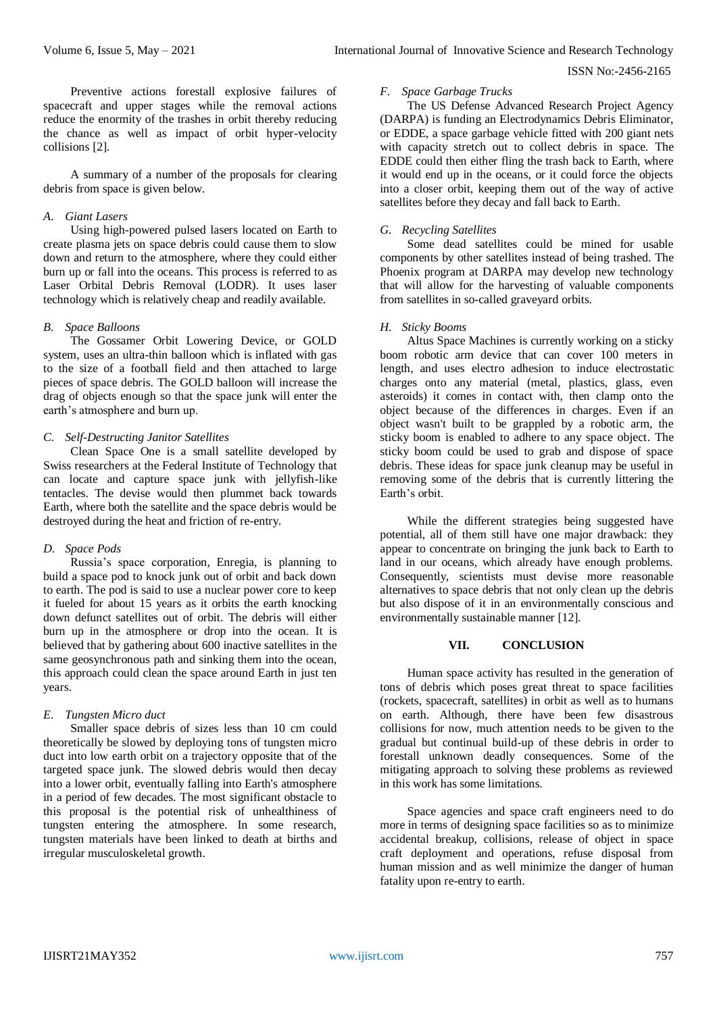#### ISSN No:-2456-2165

Preventive actions forestall explosive failures of spacecraft and upper stages while the removal actions reduce the enormity of the trashes in orbit thereby reducing the chance as well as impact of orbit hyper-velocity collisions [2].

A summary of a number of the proposals for clearing debris from space is given below.

# *A. Giant Lasers*

Using high-powered pulsed lasers located on Earth to create plasma jets on space debris could cause them to slow down and return to the atmosphere, where they could either burn up or fall into the oceans. This process is referred to as Laser Orbital Debris Removal (LODR). It uses laser technology which is relatively cheap and readily available.

# *B. Space Balloons*

The Gossamer Orbit Lowering Device, or GOLD system, uses an ultra-thin balloon which is inflated with gas to the size of a football field and then attached to large pieces of space debris. The GOLD balloon will increase the drag of objects enough so that the space junk will enter the earth's atmosphere and burn up.

# *C. Self-Destructing Janitor Satellites*

Clean Space One is a small satellite developed by Swiss researchers at the Federal Institute of Technology that can locate and capture space junk with jellyfish-like tentacles. The devise would then plummet back towards Earth, where both the satellite and the space debris would be destroyed during the heat and friction of re-entry.

# *D. Space Pods*

Russia's space corporation, Enregia, is planning to build a space pod to knock junk out of orbit and back down to earth. The pod is said to use a nuclear power core to keep it fueled for about 15 years as it orbits the earth knocking down defunct satellites out of orbit. The debris will either burn up in the atmosphere or drop into the ocean. It is believed that by gathering about 600 inactive satellites in the same geosynchronous path and sinking them into the ocean, this approach could clean the space around Earth in just ten years.

# *E. Tungsten Micro duct*

Smaller space debris of sizes less than 10 cm could theoretically be slowed by deploying tons of tungsten micro duct into low earth orbit on a trajectory opposite that of the targeted space junk. The slowed debris would then decay into a lower orbit, eventually falling into Earth's atmosphere in a period of few decades. The most significant obstacle to this proposal is the potential risk of unhealthiness of tungsten entering the atmosphere. In some research, tungsten materials have been linked to death at births and irregular musculoskeletal growth.

# *F. Space Garbage Trucks*

The US Defense Advanced Research Project Agency (DARPA) is funding an Electrodynamics Debris Eliminator, or EDDE, a space garbage vehicle fitted with 200 giant nets with capacity stretch out to collect debris in space. The EDDE could then either fling the trash back to Earth, where it would end up in the oceans, or it could force the objects into a closer orbit, keeping them out of the way of active satellites before they decay and fall back to Earth.

# *G. Recycling Satellites*

Some dead satellites could be mined for usable components by other satellites instead of being trashed. The Phoenix program at DARPA may develop new technology that will allow for the harvesting of valuable components from satellites in so-called graveyard orbits.

#### *H. Sticky Booms*

Altus Space Machines is currently working on a sticky boom robotic arm device that can cover 100 meters in length, and uses electro adhesion to induce electrostatic charges onto any material (metal, plastics, glass, even asteroids) it comes in contact with, then clamp onto the object because of the differences in charges. Even if an object wasn't built to be grappled by a robotic arm, the sticky boom is enabled to adhere to any space object. The sticky boom could be used to grab and dispose of space debris. These ideas for space junk cleanup may be useful in removing some of the debris that is currently littering the Earth's orbit.

While the different strategies being suggested have potential, all of them still have one major drawback: they appear to concentrate on bringing the junk back to Earth to land in our oceans, which already have enough problems. Consequently, scientists must devise more reasonable alternatives to space debris that not only clean up the debris but also dispose of it in an environmentally conscious and environmentally sustainable manner [12].

# **VII. CONCLUSION**

Human space activity has resulted in the generation of tons of debris which poses great threat to space facilities (rockets, spacecraft, satellites) in orbit as well as to humans on earth. Although, there have been few disastrous collisions for now, much attention needs to be given to the gradual but continual build-up of these debris in order to forestall unknown deadly consequences. Some of the mitigating approach to solving these problems as reviewed in this work has some limitations.

Space agencies and space craft engineers need to do more in terms of designing space facilities so as to minimize accidental breakup, collisions, release of object in space craft deployment and operations, refuse disposal from human mission and as well minimize the danger of human fatality upon re-entry to earth.